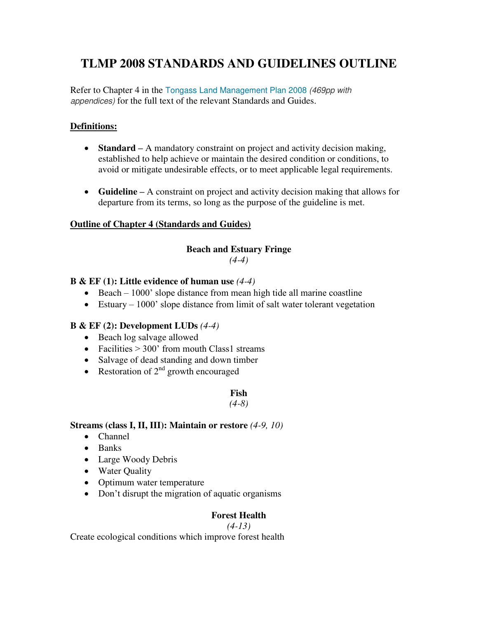## **TLMP 2008 STANDARDS AND GUIDELINES OUTLINE**

Refer to Chapter 4 in the [Tongass Land Management Plan 2008](http://www.merid.org/en/TongassAdvisoryCommittee/~/media/Files/Projects/tongass/Planning%20and%20Policy/Tongass%20Land%20Management%20Plan%202008.pdf) (469pp with appendices) for the full text of the relevant Standards and Guides.

## **Definitions:**

- **Standard –** A mandatory constraint on project and activity decision making, established to help achieve or maintain the desired condition or conditions, to avoid or mitigate undesirable effects, or to meet applicable legal requirements.
- **Guideline –** A constraint on project and activity decision making that allows for departure from its terms, so long as the purpose of the guideline is met.

#### **Outline of Chapter 4 (Standards and Guides)**

# **Beach and Estuary Fringe**

## *(4-4)*

## **B & EF (1): Little evidence of human use** *(4-4)*

- Beach  $1000'$  slope distance from mean high tide all marine coastline
- Estuary  $1000$ ' slope distance from limit of salt water tolerant vegetation

#### **B & EF (2): Development LUDs** *(4-4)*

- Beach log salvage allowed
- Facilities  $> 300'$  from mouth Class1 streams
- Salvage of dead standing and down timber
- Restoration of  $2^{nd}$  growth encouraged

#### **Fish**

#### *(4-8)*

#### **Streams (class I, II, III): Maintain or restore** *(4-9, 10)*

- Channel
- $\bullet$  Banks
- Large Woody Debris
- Water Quality
- Optimum water temperature
- Don't disrupt the migration of aquatic organisms

#### **Forest Health**

#### *(4-13)*

Create ecological conditions which improve forest health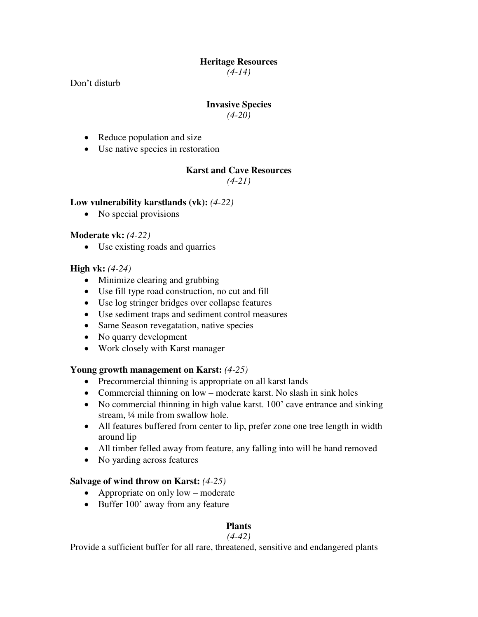## **Heritage Resources**

*(4-14)* 

Don't disturb

#### **Invasive Species**

*(4-20)* 

- Reduce population and size
- Use native species in restoration

## **Karst and Cave Resources**

*(4-21)* 

#### **Low vulnerability karstlands (vk):** *(4-22)*

• No special provisions

#### **Moderate vk:** *(4-22)*

Use existing roads and quarries

#### **High vk:** *(4-24)*

- Minimize clearing and grubbing
- Use fill type road construction, no cut and fill
- Use log stringer bridges over collapse features
- Use sediment traps and sediment control measures
- Same Season revegatation, native species
- No quarry development
- Work closely with Karst manager

#### **Young growth management on Karst:** *(4-25)*

- Precommercial thinning is appropriate on all karst lands
- Commercial thinning on low moderate karst. No slash in sink holes
- No commercial thinning in high value karst. 100' cave entrance and sinking stream, ¼ mile from swallow hole.
- All features buffered from center to lip, prefer zone one tree length in width around lip
- All timber felled away from feature, any falling into will be hand removed
- No yarding across features

#### **Salvage of wind throw on Karst:** *(4-25)*

- Appropriate on only low moderate
- Buffer 100' away from any feature

## **Plants**

#### *(4-42)*

Provide a sufficient buffer for all rare, threatened, sensitive and endangered plants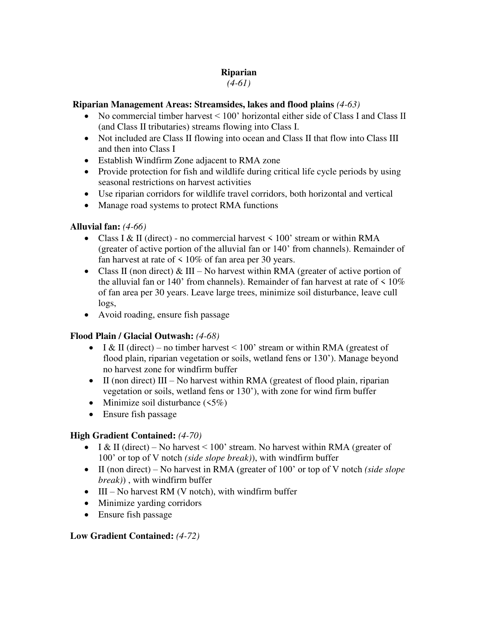## **Riparian**

#### *(4-61)*

## **Riparian Management Areas: Streamsides, lakes and flood plains** *(4-63)*

- No commercial timber harvest < 100' horizontal either side of Class I and Class II (and Class II tributaries) streams flowing into Class I.
- Not included are Class II flowing into ocean and Class II that flow into Class III and then into Class I
- Establish Windfirm Zone adjacent to RMA zone
- Provide protection for fish and wildlife during critical life cycle periods by using seasonal restrictions on harvest activities
- Use riparian corridors for wildlife travel corridors, both horizontal and vertical
- Manage road systems to protect RMA functions

## **Alluvial fan:** *(4-66)*

- Class I & II (direct) no commercial harvest  $\leq 100$ ' stream or within RMA (greater of active portion of the alluvial fan or 140' from channels). Remainder of fan harvest at rate of  $\leq 10\%$  of fan area per 30 years.
- Class II (non direct) & III No harvest within RMA (greater of active portion of the alluvial fan or 140' from channels). Remainder of fan harvest at rate of  $\leq 10\%$ of fan area per 30 years. Leave large trees, minimize soil disturbance, leave cull logs,
- Avoid roading, ensure fish passage

## **Flood Plain / Glacial Outwash:** *(4-68)*

- I & II (direct) no timber harvest  $\leq 100$ ' stream or within RMA (greatest of flood plain, riparian vegetation or soils, wetland fens or 130'). Manage beyond no harvest zone for windfirm buffer
- $II$  (non direct) III No harvest within RMA (greatest of flood plain, riparian vegetation or soils, wetland fens or 130'), with zone for wind firm buffer
- Minimize soil disturbance  $(5\%)$
- Ensure fish passage

## **High Gradient Contained:** *(4-70)*

- $II \& II$  (direct) No harvest < 100' stream. No harvest within RMA (greater of 100' or top of V notch *(side slope break)*), with windfirm buffer
- II (non direct) No harvest in RMA (greater of 100' or top of V notch *(side slope break)*) , with windfirm buffer
- $\bullet$  III No harvest RM (V notch), with windfirm buffer
- Minimize yarding corridors
- Ensure fish passage

## **Low Gradient Contained:** *(4-72)*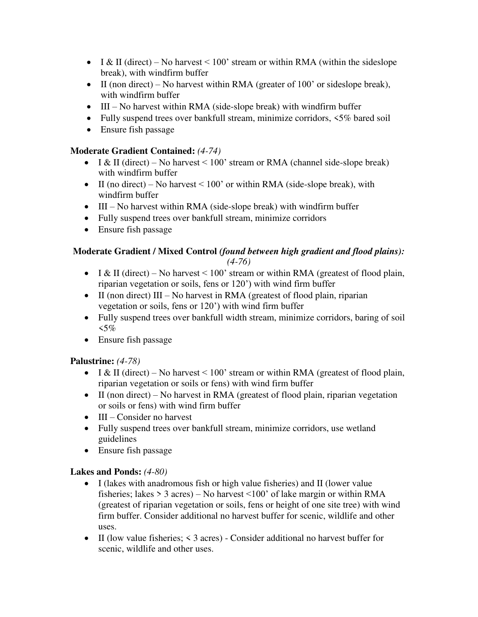- $II \& II$  (direct) No harvest < 100' stream or within RMA (within the sideslope break), with windfirm buffer
- $II$  (non direct) No harvest within RMA (greater of 100' or sideslope break), with windfirm buffer
- III No harvest within RMA (side-slope break) with windfirm buffer
- Fully suspend trees over bankfull stream, minimize corridors, <5% bared soil
- Ensure fish passage

#### **Moderate Gradient Contained:** *(4-74)*

- $I & II \text{ (direct)} No \text{ harvest} < 100' \text{ stream or RNA (channel side-slope break)}$ with windfirm buffer
- II (no direct) No harvest  $\leq 100$ ' or within RMA (side-slope break), with windfirm buffer
- $\bullet$  III No harvest within RMA (side-slope break) with windfirm buffer
- Fully suspend trees over bankfull stream, minimize corridors
- Ensure fish passage

#### **Moderate Gradient / Mixed Control** *(found between high gradient and flood plains): (4-76)*

- I & II (direct) No harvest  $\leq 100$ ' stream or within RMA (greatest of flood plain, riparian vegetation or soils, fens or 120') with wind firm buffer
- $II$  (non direct) III No harvest in RMA (greatest of flood plain, riparian vegetation or soils, fens or 120') with wind firm buffer
- Fully suspend trees over bankfull width stream, minimize corridors, baring of soil  $5\%$
- Ensure fish passage

#### **Palustrine:** *(4-78)*

- I & II (direct) No harvest  $\leq 100$ ' stream or within RMA (greatest of flood plain, riparian vegetation or soils or fens) with wind firm buffer
- $II$  (non direct) No harvest in RMA (greatest of flood plain, riparian vegetation or soils or fens) with wind firm buffer
- $\bullet$  III Consider no harvest
- Fully suspend trees over bankfull stream, minimize corridors, use wetland guidelines
- Ensure fish passage

#### **Lakes and Ponds:** *(4-80)*

- I (lakes with anadromous fish or high value fisheries) and II (lower value fisheries; lakes  $> 3$  acres) – No harvest  $\leq 100$ ' of lake margin or within RMA (greatest of riparian vegetation or soils, fens or height of one site tree) with wind firm buffer. Consider additional no harvest buffer for scenic, wildlife and other uses.
- II (low value fisheries; < 3 acres) Consider additional no harvest buffer for scenic, wildlife and other uses.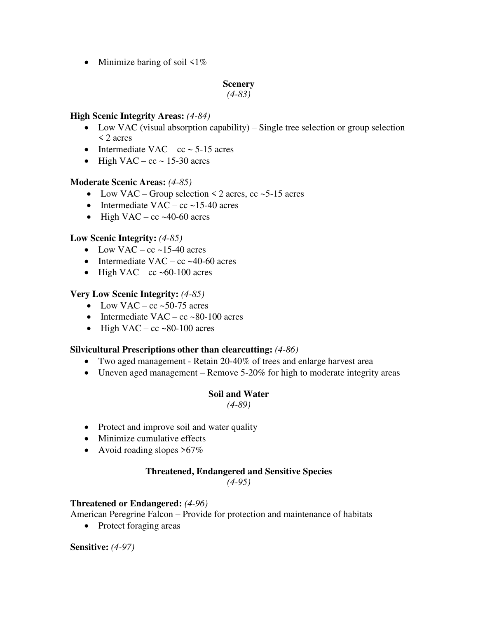• Minimize baring of soil  $\leq 1\%$ 

#### **Scenery**

*(4-83)* 

#### **High Scenic Integrity Areas:** *(4-84)*

- Low VAC (visual absorption capability) Single tree selection or group selection < 2 acres
- Intermediate VAC  $cc \sim 5{\text -}15$  acres
- $\bullet$  High VAC cc ~ 15-30 acres

#### **Moderate Scenic Areas:** *(4-85)*

- Low VAC Group selection  $\leq$  2 acres, cc  $\sim$  5-15 acres
- Intermediate  $VAC cc$  ~15-40 acres
- $\bullet$  High VAC cc ~40-60 acres

#### **Low Scenic Integrity:** *(4-85)*

- Low VAC cc ~15-40 acres
- Intermediate VAC cc  $\sim$  40-60 acres
- $\bullet$  High VAC cc ~60-100 acres

#### **Very Low Scenic Integrity:** *(4-85)*

- Low VAC cc ~50-75 acres
- Intermediate  $VAC cc \sim 80-100$  acres
- $\bullet$  High VAC cc ~80-100 acres

#### **Silvicultural Prescriptions other than clearcutting:** *(4-86)*

- Two aged management Retain 20-40% of trees and enlarge harvest area
- Uneven aged management Remove 5-20% for high to moderate integrity areas

#### **Soil and Water**

*(4-89)* 

- Protect and improve soil and water quality
- Minimize cumulative effects
- Avoid roading slopes  $>67\%$

#### **Threatened, Endangered and Sensitive Species**

*(4-95)* 

#### **Threatened or Endangered:** *(4-96)*

American Peregrine Falcon – Provide for protection and maintenance of habitats

• Protect foraging areas

#### **Sensitive:** *(4-97)*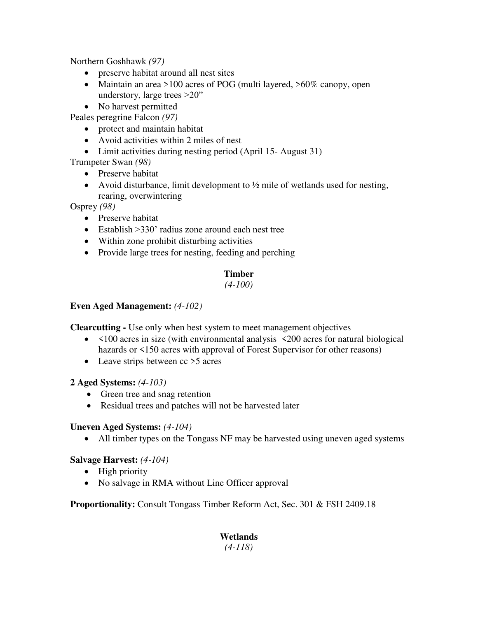Northern Goshhawk *(97)*

- preserve habitat around all nest sites
- Maintain an area >100 acres of POG (multi layered, >60% canopy, open understory, large trees >20"
- No harvest permitted
- Peales peregrine Falcon *(97)* 
	- protect and maintain habitat
	- Avoid activities within 2 miles of nest
	- Limit activities during nesting period (April 15-August 31)

Trumpeter Swan *(98)* 

- Preserve habitat
- Avoid disturbance, limit development to  $\frac{1}{2}$  mile of wetlands used for nesting, rearing, overwintering

Osprey *(98)* 

- Preserve habitat
- Establish > 330' radius zone around each nest tree
- Within zone prohibit disturbing activities
- Provide large trees for nesting, feeding and perching

## **Timber**

#### *(4-100)*

#### **Even Aged Management:** *(4-102)*

**Clearcutting -** Use only when best system to meet management objectives

- <100 acres in size (with environmental analysis <200 acres for natural biological hazards or <150 acres with approval of Forest Supervisor for other reasons)
- Leave strips between cc >5 acres

#### **2 Aged Systems:** *(4-103)*

- Green tree and snag retention
- Residual trees and patches will not be harvested later

#### **Uneven Aged Systems:** *(4-104)*

All timber types on the Tongass NF may be harvested using uneven aged systems

#### **Salvage Harvest:** *(4-104)*

- High priority
- No salvage in RMA without Line Officer approval

**Proportionality:** Consult Tongass Timber Reform Act, Sec. 301 & FSH 2409.18

## **Wetlands**

*(4-118)*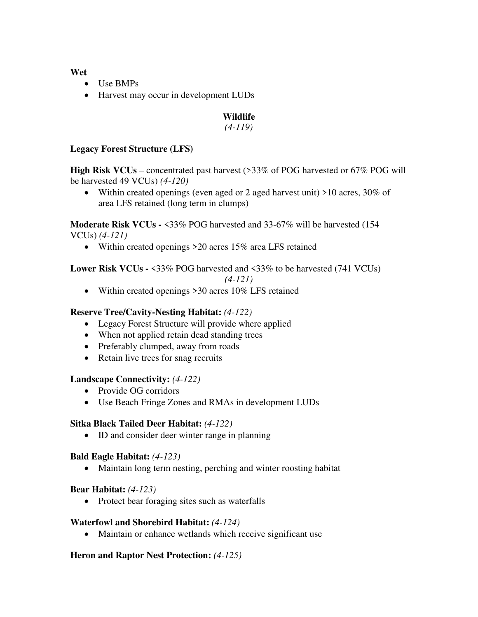#### **Wet**

- Use BMPs
- Harvest may occur in development LUDs

## **Wildlife**

*(4-119)* 

#### **Legacy Forest Structure (LFS)**

**High Risk VCUs –** concentrated past harvest (>33% of POG harvested or 67% POG will be harvested 49 VCUs) *(4-120)* 

 Within created openings (even aged or 2 aged harvest unit) >10 acres, 30% of area LFS retained (long term in clumps)

**Moderate Risk VCUs -** <33% POG harvested and 33-67% will be harvested (154 VCUs) *(4-121)* 

• Within created openings > 20 acres 15% area LFS retained

## **Lower Risk VCUs - <33% POG** harvested and <33% to be harvested (741 VCUs)

*(4-121)* 

• Within created openings >30 acres 10% LFS retained

#### **Reserve Tree/Cavity-Nesting Habitat:** *(4-122)*

- Legacy Forest Structure will provide where applied
- When not applied retain dead standing trees
- Preferably clumped, away from roads
- Retain live trees for snag recruits

#### **Landscape Connectivity:** *(4-122)*

- Provide OG corridors
- Use Beach Fringe Zones and RMAs in development LUDs

#### **Sitka Black Tailed Deer Habitat:** *(4-122)*

• ID and consider deer winter range in planning

#### **Bald Eagle Habitat:** *(4-123)*

Maintain long term nesting, perching and winter roosting habitat

#### **Bear Habitat:** *(4-123)*

• Protect bear foraging sites such as waterfalls

#### **Waterfowl and Shorebird Habitat:** *(4-124)*

• Maintain or enhance wetlands which receive significant use

#### **Heron and Raptor Nest Protection:** *(4-125)*